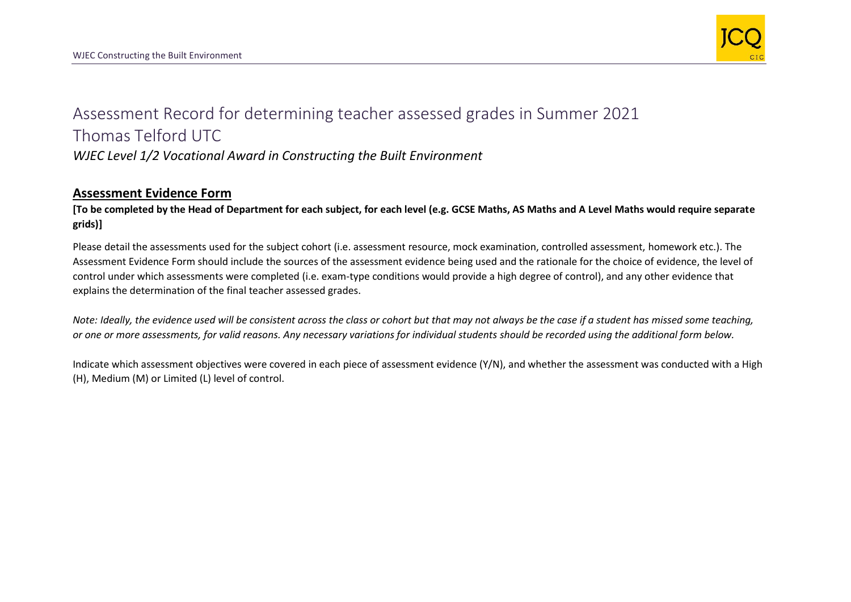

## Assessment Record for determining teacher assessed grades in Summer 2021 Thomas Telford UTC *WJEC Level 1/2 Vocational Award in Constructing the Built Environment*

## **Assessment Evidence Form**

**[To be completed by the Head of Department for each subject, for each level (e.g. GCSE Maths, AS Maths and A Level Maths would require separate grids)]**

Please detail the assessments used for the subject cohort (i.e. assessment resource, mock examination, controlled assessment, homework etc.). The Assessment Evidence Form should include the sources of the assessment evidence being used and the rationale for the choice of evidence, the level of control under which assessments were completed (i.e. exam-type conditions would provide a high degree of control), and any other evidence that explains the determination of the final teacher assessed grades.

*Note: Ideally, the evidence used will be consistent across the class or cohort but that may not always be the case if a student has missed some teaching, or one or more assessments, for valid reasons. Any necessary variations for individual students should be recorded using the additional form below.* 

Indicate which assessment objectives were covered in each piece of assessment evidence (Y/N), and whether the assessment was conducted with a High (H), Medium (M) or Limited (L) level of control.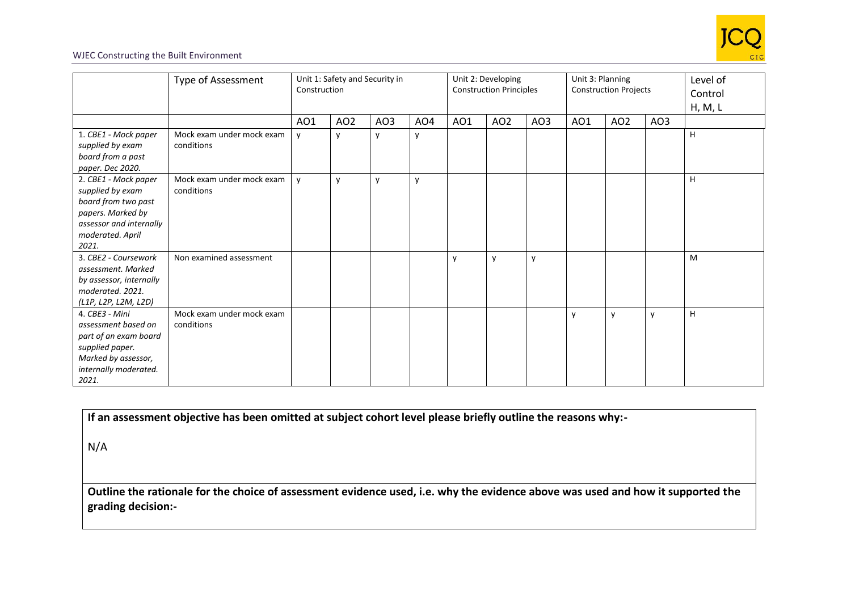

## WJEC Constructing the Built Environment

|                                                                                                                                              | Type of Assessment                      | Unit 1: Safety and Security in<br>Construction |                 |              |                 | Unit 2: Developing<br><b>Construction Principles</b> |                 |     | Unit 3: Planning<br><b>Construction Projects</b> |                 |             | Level of<br>Control<br>H, M, L |
|----------------------------------------------------------------------------------------------------------------------------------------------|-----------------------------------------|------------------------------------------------|-----------------|--------------|-----------------|------------------------------------------------------|-----------------|-----|--------------------------------------------------|-----------------|-------------|--------------------------------|
|                                                                                                                                              |                                         | AO1                                            | AO <sub>2</sub> | AO3          | AO <sub>4</sub> | AO1                                                  | AO <sub>2</sub> | AO3 | AO1                                              | AO <sub>2</sub> | AO3         |                                |
| 1. CBE1 - Mock paper<br>supplied by exam<br>board from a past<br>paper. Dec 2020.                                                            | Mock exam under mock exam<br>conditions | y                                              | y               | y            | y               |                                                      |                 |     |                                                  |                 |             | H                              |
| 2. CBE1 - Mock paper<br>supplied by exam<br>board from two past<br>papers. Marked by<br>assessor and internally<br>moderated. April<br>2021. | Mock exam under mock exam<br>conditions | y                                              | $\mathsf{v}$    | $\mathsf{v}$ | y               |                                                      |                 |     |                                                  |                 |             | H                              |
| 3. CBE2 - Coursework<br>assessment. Marked<br>by assessor, internally<br>moderated. 2021.<br>(L1P, L2P, L2M, L2D)                            | Non examined assessment                 |                                                |                 |              |                 | y                                                    | y               | y   |                                                  |                 |             | M                              |
| 4. CBE3 - Mini<br>assessment based on<br>part of an exam board<br>supplied paper.<br>Marked by assessor,<br>internally moderated.<br>2021.   | Mock exam under mock exam<br>conditions |                                                |                 |              |                 |                                                      |                 |     | $\mathsf{v}$                                     | y               | $\mathbf v$ | H                              |

**If an assessment objective has been omitted at subject cohort level please briefly outline the reasons why:-**

N/A

**Outline the rationale for the choice of assessment evidence used, i.e. why the evidence above was used and how it supported the grading decision:-**